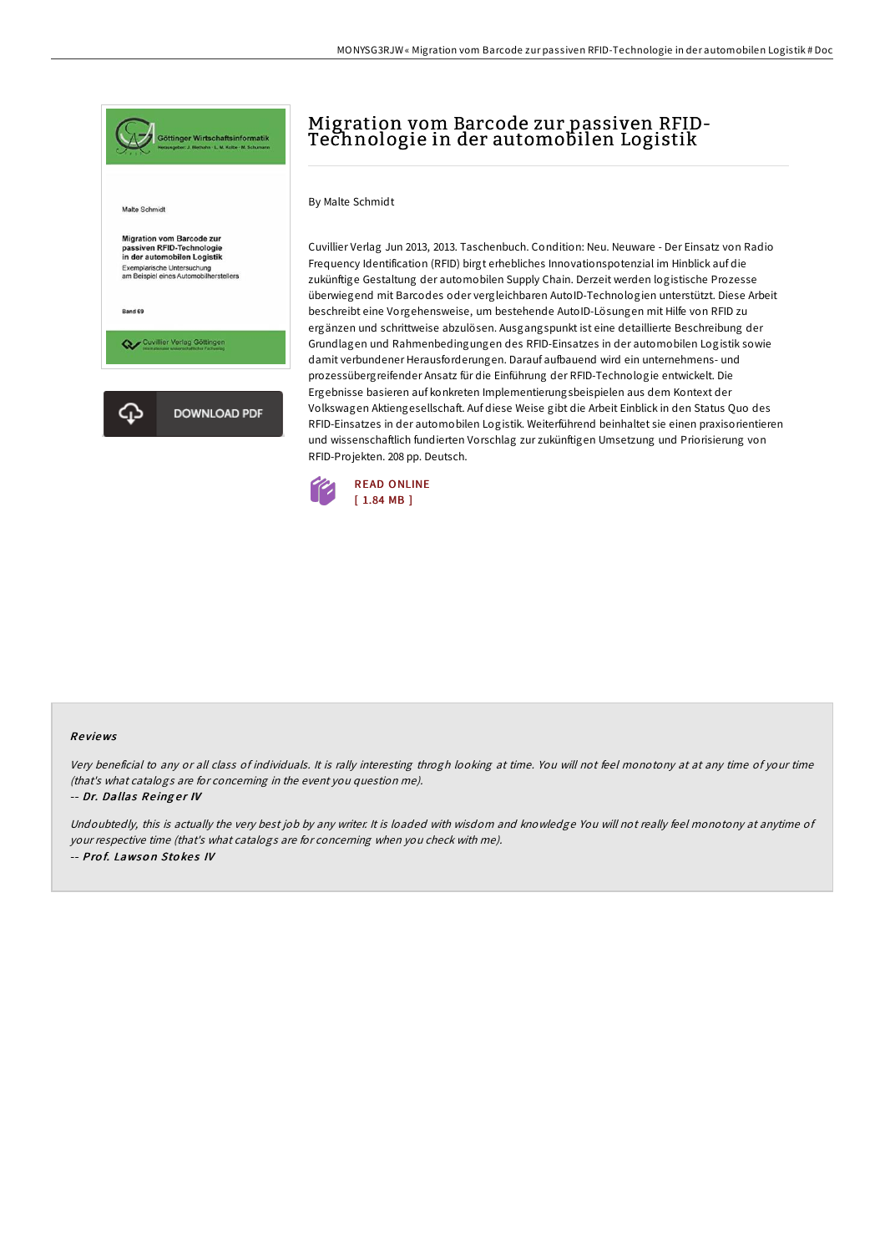

# Migration vom Barcode zur passiven RFID-Technologie in der automobilen Logistik

#### By Malte Schmidt

Cuvillier Verlag Jun 2013, 2013. Taschenbuch. Condition: Neu. Neuware - Der Einsatz von Radio Frequency Identification (RFID) birgt erhebliches Innovationspotenzial im Hinblick auf die zukünftige Gestaltung der automobilen Supply Chain. Derzeit werden logistische Prozesse überwiegend mit Barcodes oder vergleichbaren AutoID-Technologien unterstützt. Diese Arbeit beschreibt eine Vorgehensweise, um bestehende AutoID-Lösungen mit Hilfe von RFID zu ergänzen und schrittweise abzulösen. Ausgangspunkt ist eine detaillierte Beschreibung der Grundlagen und Rahmenbedingungen des RFID-Einsatzes in der automobilen Logistik sowie damit verbundener Herausforderungen. Darauf aufbauend wird ein unternehmens- und prozessübergreifender Ansatz für die Einführung der RFID-Technologie entwickelt. Die Ergebnisse basieren auf konkreten Implementierungsbeispielen aus dem Kontext der Volkswagen Aktiengesellschaft. Auf diese Weise gibt die Arbeit Einblick in den Status Quo des RFID-Einsatzes in der automobilen Logistik. Weiterführend beinhaltet sie einen praxisorientieren und wissenschaftlich fundierten Vorschlag zur zukünftigen Umsetzung und Priorisierung von RFID-Projekten. 208 pp. Deutsch.



#### Re views

Very beneficial to any or all class of individuals. It is rally interesting throgh looking at time. You will not feel monotony at at any time of your time (that's what catalogs are for concerning in the event you question me).

#### -- Dr. Dallas Reinger IV

Undoubtedly, this is actually the very best job by any writer. It is loaded with wisdom and knowledge You will not really feel monotony at anytime of your respective time (that's what catalogs are for concerning when you check with me). -- Prof. Lawson Stokes IV